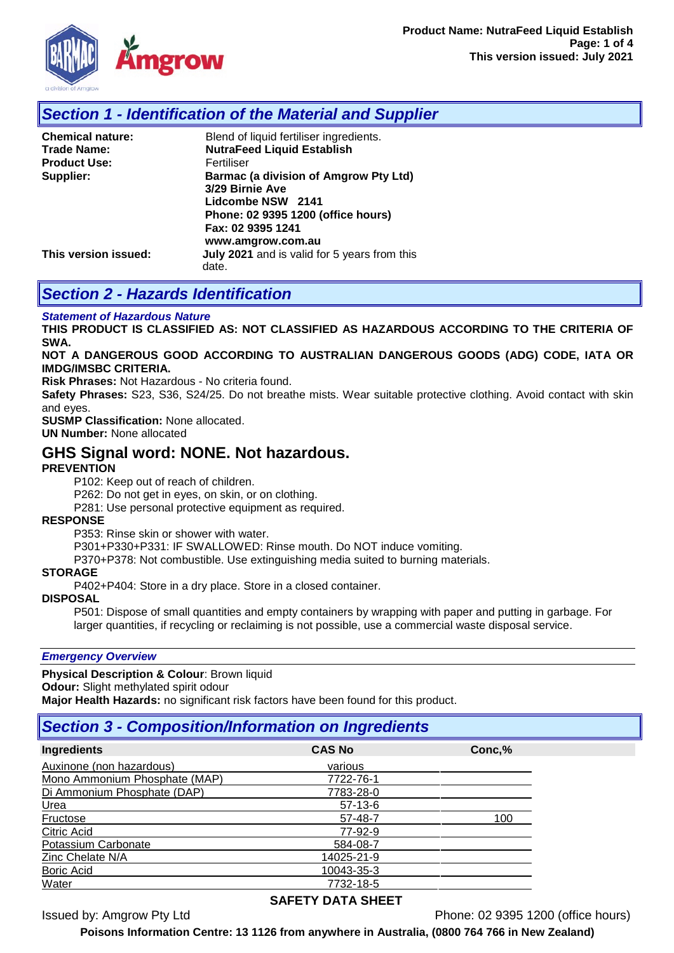

## *Section 1 - Identification of the Material and Supplier*

| <b>Chemical nature:</b> | Blend of liquid fertiliser ingredients.                                                                                                                              |
|-------------------------|----------------------------------------------------------------------------------------------------------------------------------------------------------------------|
| <b>Trade Name:</b>      | <b>NutraFeed Liquid Establish</b>                                                                                                                                    |
| <b>Product Use:</b>     | Fertiliser                                                                                                                                                           |
| Supplier:               | <b>Barmac (a division of Amgrow Pty Ltd)</b><br>3/29 Birnie Ave<br>Lidcombe NSW 2141<br>Phone: 02 9395 1200 (office hours)<br>Fax: 02 9395 1241<br>www.amgrow.com.au |
| This version issued:    | July 2021 and is valid for 5 years from this<br>date.                                                                                                                |

## *Section 2 - Hazards Identification*

#### *Statement of Hazardous Nature*

**THIS PRODUCT IS CLASSIFIED AS: NOT CLASSIFIED AS HAZARDOUS ACCORDING TO THE CRITERIA OF SWA.** 

#### **NOT A DANGEROUS GOOD ACCORDING TO AUSTRALIAN DANGEROUS GOODS (ADG) CODE, IATA OR IMDG/IMSBC CRITERIA.**

**Risk Phrases:** Not Hazardous - No criteria found.

**Safety Phrases:** S23, S36, S24/25. Do not breathe mists. Wear suitable protective clothing. Avoid contact with skin and eyes.

**SUSMP Classification:** None allocated.

**UN Number:** None allocated

### **GHS Signal word: NONE. Not hazardous.**

### **PREVENTION**

P102: Keep out of reach of children.

P262: Do not get in eyes, on skin, or on clothing.

P281: Use personal protective equipment as required.

#### **RESPONSE**

P353: Rinse skin or shower with water.

P301+P330+P331: IF SWALLOWED: Rinse mouth. Do NOT induce vomiting.

P370+P378: Not combustible. Use extinguishing media suited to burning materials.

#### **STORAGE**

P402+P404: Store in a dry place. Store in a closed container.

#### **DISPOSAL**

P501: Dispose of small quantities and empty containers by wrapping with paper and putting in garbage. For larger quantities, if recycling or reclaiming is not possible, use a commercial waste disposal service.

#### *Emergency Overview*

**Physical Description & Colour**: Brown liquid **Odour:** Slight methylated spirit odour **Major Health Hazards:** no significant risk factors have been found for this product.

# *Section 3 - Composition/Information on Ingredients*

| <b>CAS No</b> | Conc,% |
|---------------|--------|
| various       |        |
| 7722-76-1     |        |
| 7783-28-0     |        |
| $57-13-6$     |        |
| 57-48-7       | 100    |
| 77-92-9       |        |
| 584-08-7      |        |
| 14025-21-9    |        |
| 10043-35-3    |        |
| 7732-18-5     |        |
|               |        |

### **SAFETY DATA SHEET**

Issued by: Amgrow Pty Ltd Phone: 02 9395 1200 (office hours)

**Poisons Information Centre: 13 1126 from anywhere in Australia, (0800 764 766 in New Zealand)**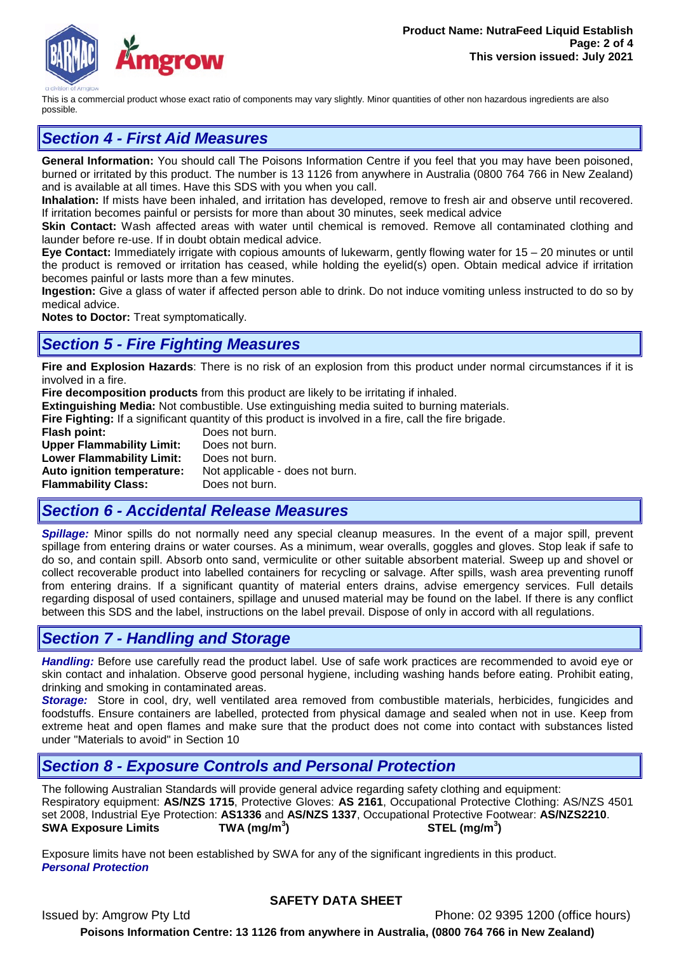

This is a commercial product whose exact ratio of components may vary slightly. Minor quantities of other non hazardous ingredients are also possible.

# *Section 4 - First Aid Measures*

**General Information:** You should call The Poisons Information Centre if you feel that you may have been poisoned, burned or irritated by this product. The number is 13 1126 from anywhere in Australia (0800 764 766 in New Zealand) and is available at all times. Have this SDS with you when you call.

**Inhalation:** If mists have been inhaled, and irritation has developed, remove to fresh air and observe until recovered. If irritation becomes painful or persists for more than about 30 minutes, seek medical advice

**Skin Contact:** Wash affected areas with water until chemical is removed. Remove all contaminated clothing and launder before re-use. If in doubt obtain medical advice.

**Eye Contact:** Immediately irrigate with copious amounts of lukewarm, gently flowing water for 15 – 20 minutes or until the product is removed or irritation has ceased, while holding the eyelid(s) open. Obtain medical advice if irritation becomes painful or lasts more than a few minutes.

**Ingestion:** Give a glass of water if affected person able to drink. Do not induce vomiting unless instructed to do so by medical advice.

**Notes to Doctor:** Treat symptomatically.

### *Section 5 - Fire Fighting Measures*

**Fire and Explosion Hazards**: There is no risk of an explosion from this product under normal circumstances if it is involved in a fire.

**Fire decomposition products** from this product are likely to be irritating if inhaled.

**Extinguishing Media:** Not combustible. Use extinguishing media suited to burning materials.

**Fire Fighting:** If a significant quantity of this product is involved in a fire, call the fire brigade.

**Flash point:** Does not burn.<br>**Upper Flammability Limit:** Does not burn. **Upper Flammability Limit: Lower Flammability Limit:** Does not burn. **Auto ignition temperature:** Not applicable - does not burn.<br>**Flammability Class:** Does not burn. **Flammability Class:** 

# *Section 6 - Accidental Release Measures*

*Spillage:* Minor spills do not normally need any special cleanup measures. In the event of a major spill, prevent spillage from entering drains or water courses. As a minimum, wear overalls, goggles and gloves. Stop leak if safe to do so, and contain spill. Absorb onto sand, vermiculite or other suitable absorbent material. Sweep up and shovel or collect recoverable product into labelled containers for recycling or salvage. After spills, wash area preventing runoff from entering drains. If a significant quantity of material enters drains, advise emergency services. Full details regarding disposal of used containers, spillage and unused material may be found on the label. If there is any conflict between this SDS and the label, instructions on the label prevail. Dispose of only in accord with all regulations.

## *Section 7 - Handling and Storage*

*Handling:* Before use carefully read the product label. Use of safe work practices are recommended to avoid eye or skin contact and inhalation. Observe good personal hygiene, including washing hands before eating. Prohibit eating, drinking and smoking in contaminated areas.

*Storage:*Store in cool, dry, well ventilated area removed from combustible materials, herbicides, fungicides and foodstuffs. Ensure containers are labelled, protected from physical damage and sealed when not in use. Keep from extreme heat and open flames and make sure that the product does not come into contact with substances listed under "Materials to avoid" in Section 10

## *Section 8 - Exposure Controls and Personal Protection*

The following Australian Standards will provide general advice regarding safety clothing and equipment: Respiratory equipment: **AS/NZS 1715**, Protective Gloves: **AS 2161**, Occupational Protective Clothing: AS/NZS 4501 set 2008, Industrial Eye Protection: **AS1336** and **AS/NZS 1337**, Occupational Protective Footwear: **AS/NZS2210**. **SWA Exposure Limits TWA (mg/m<sup>3</sup> ) STEL (mg/m<sup>3</sup> )**

Exposure limits have not been established by SWA for any of the significant ingredients in this product. *Personal Protection*

### **SAFETY DATA SHEET**

Issued by: Amgrow Pty Ltd Phone: 02 9395 1200 (office hours) **Poisons Information Centre: 13 1126 from anywhere in Australia, (0800 764 766 in New Zealand)**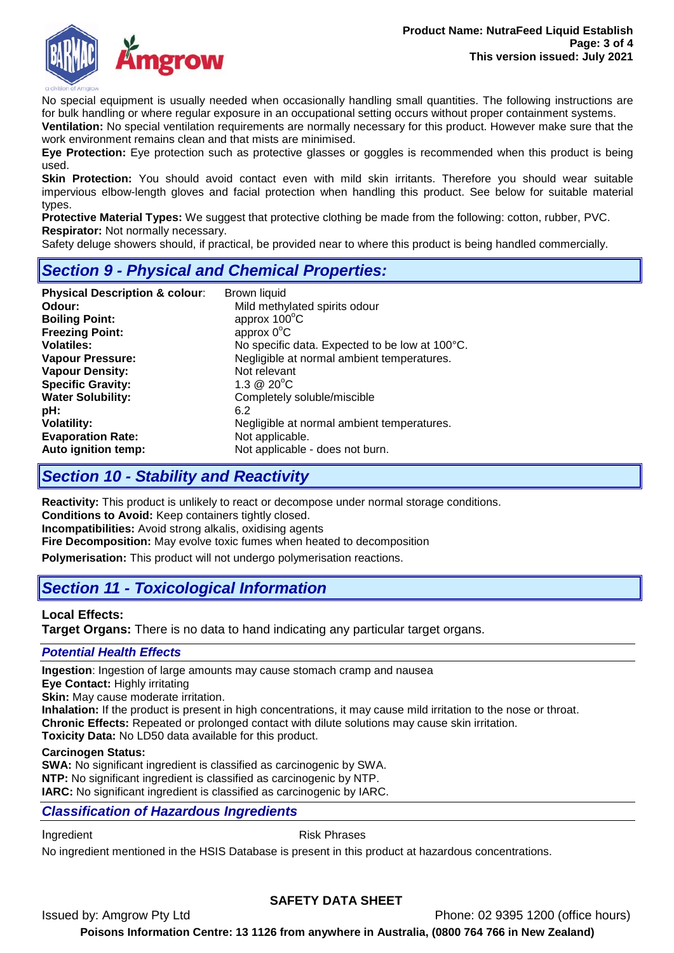

No special equipment is usually needed when occasionally handling small quantities. The following instructions are for bulk handling or where regular exposure in an occupational setting occurs without proper containment systems.

**Ventilation:** No special ventilation requirements are normally necessary for this product. However make sure that the work environment remains clean and that mists are minimised.

**Eye Protection:** Eye protection such as protective glasses or goggles is recommended when this product is being used.

**Skin Protection:** You should avoid contact even with mild skin irritants. Therefore you should wear suitable impervious elbow-length gloves and facial protection when handling this product. See below for suitable material types.

**Protective Material Types:** We suggest that protective clothing be made from the following: cotton, rubber, PVC. **Respirator:** Not normally necessary.

Safety deluge showers should, if practical, be provided near to where this product is being handled commercially.

# *Section 9 - Physical and Chemical Properties:*

| <b>Physical Description &amp; colour:</b> | Brown liquid                                   |
|-------------------------------------------|------------------------------------------------|
| Odour:                                    | Mild methylated spirits odour                  |
| <b>Boiling Point:</b>                     | approx $100^{\circ}$ C                         |
| <b>Freezing Point:</b>                    | approx $0^{\circ}$ C                           |
| <b>Volatiles:</b>                         | No specific data. Expected to be low at 100°C. |
| <b>Vapour Pressure:</b>                   | Negligible at normal ambient temperatures.     |
| <b>Vapour Density:</b>                    | Not relevant                                   |
| <b>Specific Gravity:</b>                  | $1.3 \ @ \ 20^{\circ}C$                        |
| <b>Water Solubility:</b>                  | Completely soluble/miscible                    |
| pH:                                       | 6.2                                            |
| <b>Volatility:</b>                        | Negligible at normal ambient temperatures.     |
| <b>Evaporation Rate:</b>                  | Not applicable.                                |
| Auto ignition temp:                       | Not applicable - does not burn.                |

# *Section 10 - Stability and Reactivity*

**Reactivity:** This product is unlikely to react or decompose under normal storage conditions. **Conditions to Avoid:** Keep containers tightly closed.

**Incompatibilities:** Avoid strong alkalis, oxidising agents

**Fire Decomposition:** May evolve toxic fumes when heated to decomposition

**Polymerisation:** This product will not undergo polymerisation reactions.

# *Section 11 - Toxicological Information*

### **Local Effects:**

**Target Organs:** There is no data to hand indicating any particular target organs.

### *Potential Health Effects*

**Ingestion**: Ingestion of large amounts may cause stomach cramp and nausea

**Eye Contact:** Highly irritating

**Skin:** May cause moderate irritation.

**Inhalation:** If the product is present in high concentrations, it may cause mild irritation to the nose or throat.

**Chronic Effects:** Repeated or prolonged contact with dilute solutions may cause skin irritation.

**Toxicity Data:** No LD50 data available for this product.

### **Carcinogen Status:**

**SWA:** No significant ingredient is classified as carcinogenic by SWA. **NTP:** No significant ingredient is classified as carcinogenic by NTP. **IARC:** No significant ingredient is classified as carcinogenic by IARC.

### *Classification of Hazardous Ingredients*

Ingredient **Risk Phrases** 

No ingredient mentioned in the HSIS Database is present in this product at hazardous concentrations.

### **SAFETY DATA SHEET**

Issued by: Amgrow Pty Ltd Phone: 02 9395 1200 (office hours)

**Poisons Information Centre: 13 1126 from anywhere in Australia, (0800 764 766 in New Zealand)**